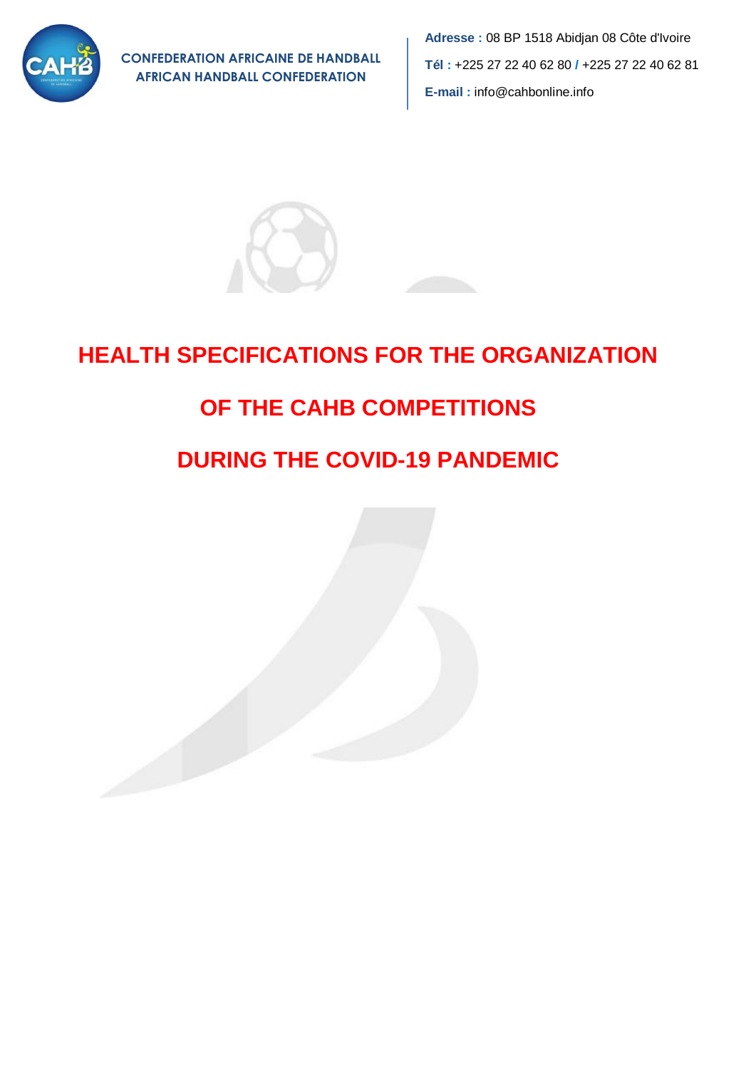

**CONFEDERATION AFRICAINE DE HANDBALL AFRICAN HANDBALL CONFEDERATION**

**Adresse :** 08 BP 1518 Abidjan 08 Côte d'Ivoire **Tél :** +225 27 22 40 62 80 **/** +225 27 22 40 62 81 **E-mail :** info@cahbonline.info



## **HEALTH SPECIFICATIONS FOR THE ORGANIZATION**

## **OF THE CAHB COMPETITIONS**

## **DURING THE COVID-19 PANDEMIC**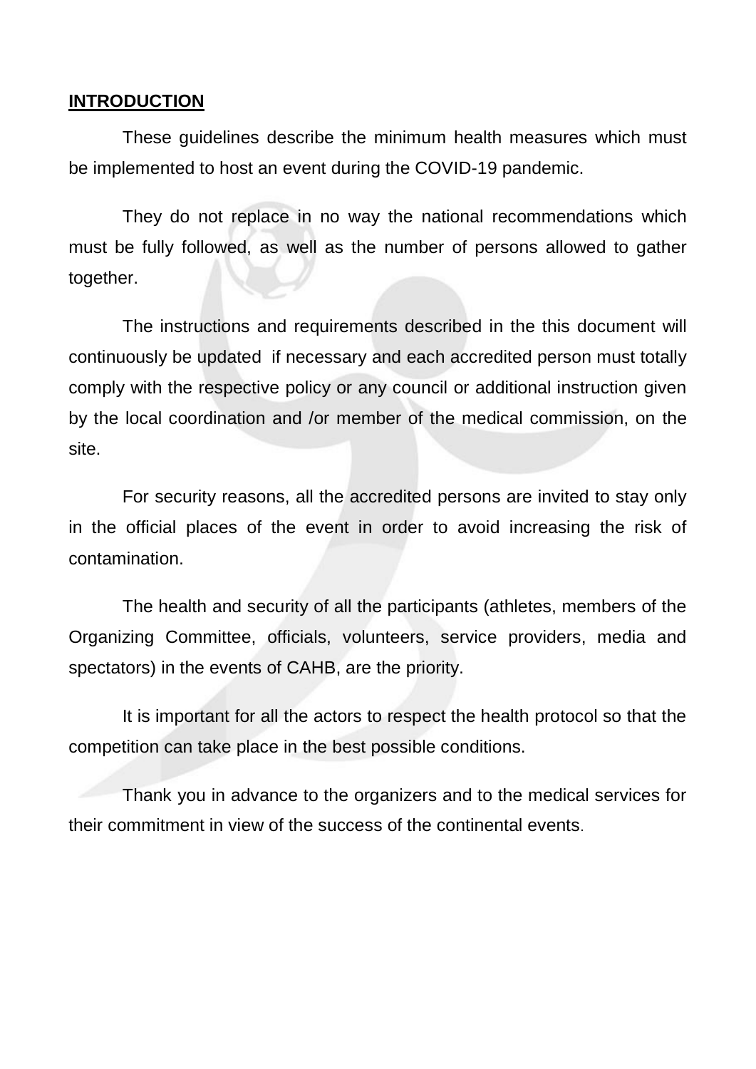#### **INTRODUCTION**

These guidelines describe the minimum health measures which must be implemented to host an event during the COVID-19 pandemic.

They do not replace in no way the national recommendations which must be fully followed, as well as the number of persons allowed to gather together.

The instructions and requirements described in the this document will continuously be updated if necessary and each accredited person must totally comply with the respective policy or any council or additional instruction given by the local coordination and /or member of the medical commission, on the site.

For security reasons, all the accredited persons are invited to stay only in the official places of the event in order to avoid increasing the risk of contamination.

The health and security of all the participants (athletes, members of the Organizing Committee, officials, volunteers, service providers, media and spectators) in the events of CAHB, are the priority.

It is important for all the actors to respect the health protocol so that the competition can take place in the best possible conditions.

Thank you in advance to the organizers and to the medical services for their commitment in view of the success of the continental events.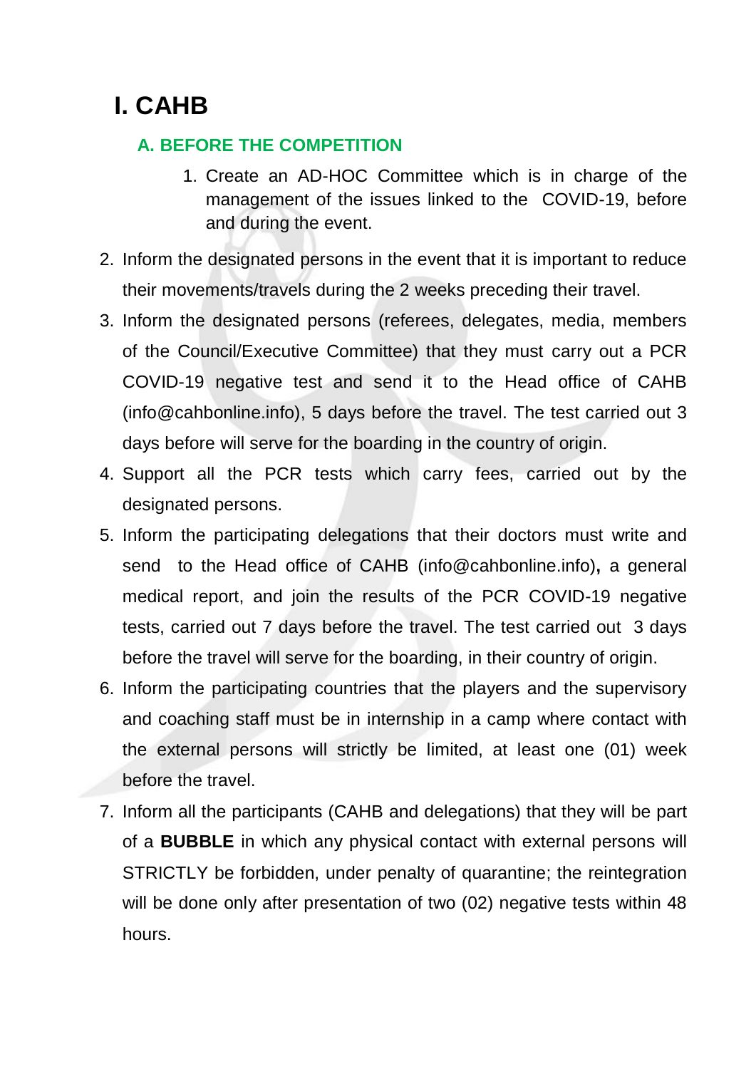# **I. CAHB**

## **A. BEFORE THE COMPETITION**

- 1. Create an AD-HOC Committee which is in charge of the management of the issues linked to the COVID-19, before and during the event.
- 2. Inform the designated persons in the event that it is important to reduce their movements/travels during the 2 weeks preceding their travel.
- 3. Inform the designated persons (referees, delegates, media, members of the Council/Executive Committee) that they must carry out a PCR COVID-19 negative test and send it to the Head office of CAHB (info@cahbonline.info), 5 days before the travel. The test carried out 3 days before will serve for the boarding in the country of origin.
- 4. Support all the PCR tests which carry fees, carried out by the designated persons.
- 5. Inform the participating delegations that their doctors must write and send to the Head office of CAHB (info@cahbonline.info)**,** a general medical report, and join the results of the PCR COVID-19 negative tests, carried out 7 days before the travel. The test carried out 3 days before the travel will serve for the boarding, in their country of origin.
- 6. Inform the participating countries that the players and the supervisory and coaching staff must be in internship in a camp where contact with the external persons will strictly be limited, at least one (01) week before the travel.
- 7. Inform all the participants (CAHB and delegations) that they will be part of a **BUBBLE** in which any physical contact with external persons will STRICTLY be forbidden, under penalty of quarantine; the reintegration will be done only after presentation of two (02) negative tests within 48 hours.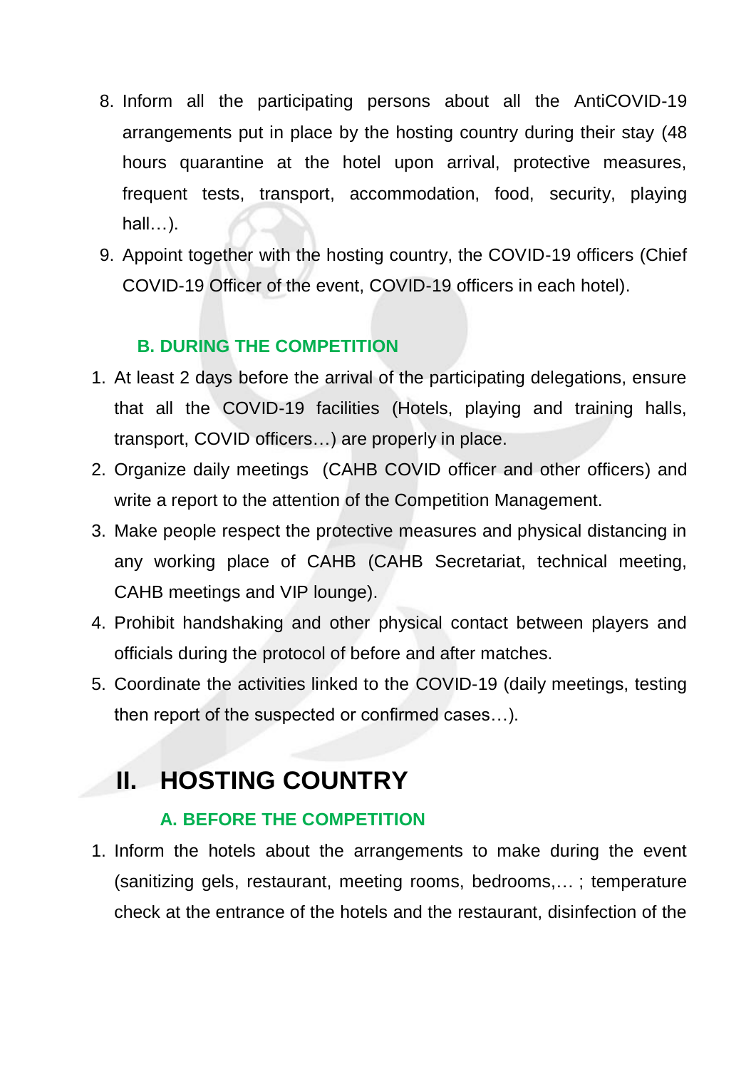- 8. Inform all the participating persons about all the AntiCOVID-19 arrangements put in place by the hosting country during their stay (48 hours quarantine at the hotel upon arrival, protective measures, frequent tests, transport, accommodation, food, security, playing  $hall...).$
- 9. Appoint together with the hosting country, the COVID-19 officers (Chief COVID-19 Officer of the event, COVID-19 officers in each hotel).

## **B. DURING THE COMPETITION**

- 1. At least 2 days before the arrival of the participating delegations, ensure that all the COVID-19 facilities (Hotels, playing and training halls, transport, COVID officers…) are properly in place.
- 2. Organize daily meetings (CAHB COVID officer and other officers) and write a report to the attention of the Competition Management.
- 3. Make people respect the protective measures and physical distancing in any working place of CAHB (CAHB Secretariat, technical meeting, CAHB meetings and VIP lounge).
- 4. Prohibit handshaking and other physical contact between players and officials during the protocol of before and after matches.
- 5. Coordinate the activities linked to the COVID-19 (daily meetings, testing then report of the suspected or confirmed cases…).

# **II. HOSTING COUNTRY**

#### **A. BEFORE THE COMPETITION**

1. Inform the hotels about the arrangements to make during the event (sanitizing gels, restaurant, meeting rooms, bedrooms,… ; temperature check at the entrance of the hotels and the restaurant, disinfection of the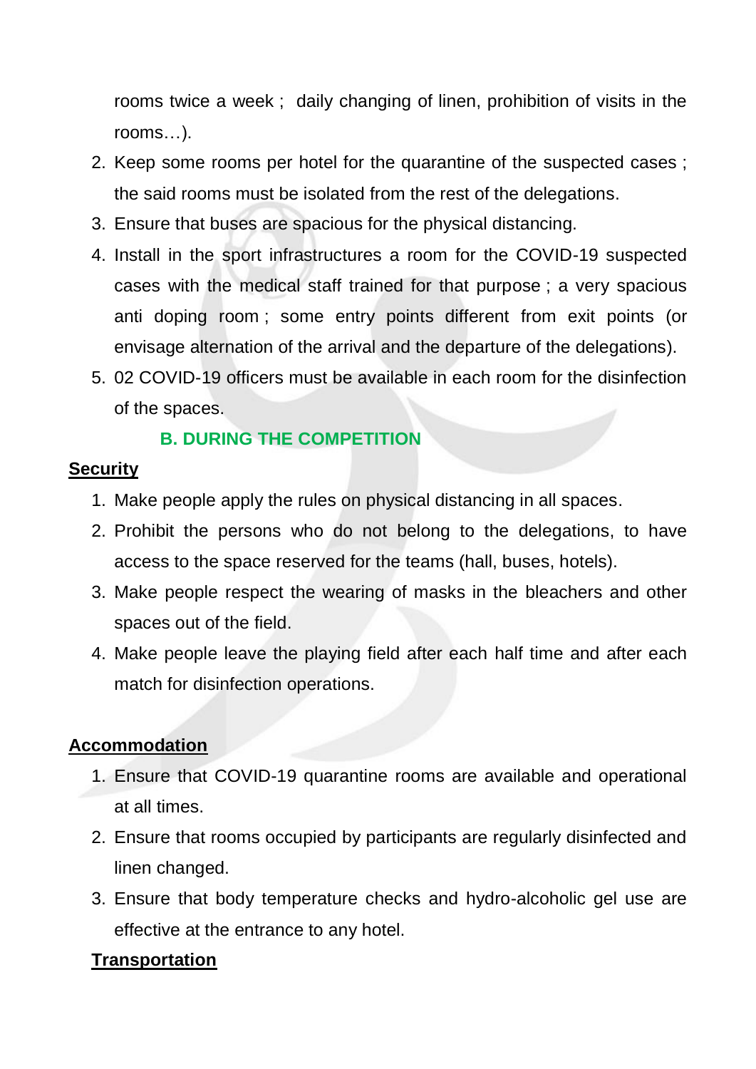rooms twice a week ; daily changing of linen, prohibition of visits in the rooms…).

- 2. Keep some rooms per hotel for the quarantine of the suspected cases ; the said rooms must be isolated from the rest of the delegations.
- 3. Ensure that buses are spacious for the physical distancing.
- 4. Install in the sport infrastructures a room for the COVID-19 suspected cases with the medical staff trained for that purpose ; a very spacious anti doping room ; some entry points different from exit points (or envisage alternation of the arrival and the departure of the delegations).
- 5. 02 COVID-19 officers must be available in each room for the disinfection of the spaces.

## **B. DURING THE COMPETITION**

#### **Security**

- 1. Make people apply the rules on physical distancing in all spaces.
- 2. Prohibit the persons who do not belong to the delegations, to have access to the space reserved for the teams (hall, buses, hotels).
- 3. Make people respect the wearing of masks in the bleachers and other spaces out of the field.
- 4. Make people leave the playing field after each half time and after each match for disinfection operations.

## **Accommodation**

- 1. Ensure that COVID-19 quarantine rooms are available and operational at all times.
- 2. Ensure that rooms occupied by participants are regularly disinfected and linen changed.
- 3. Ensure that body temperature checks and hydro-alcoholic gel use are effective at the entrance to any hotel.

## **Transportation**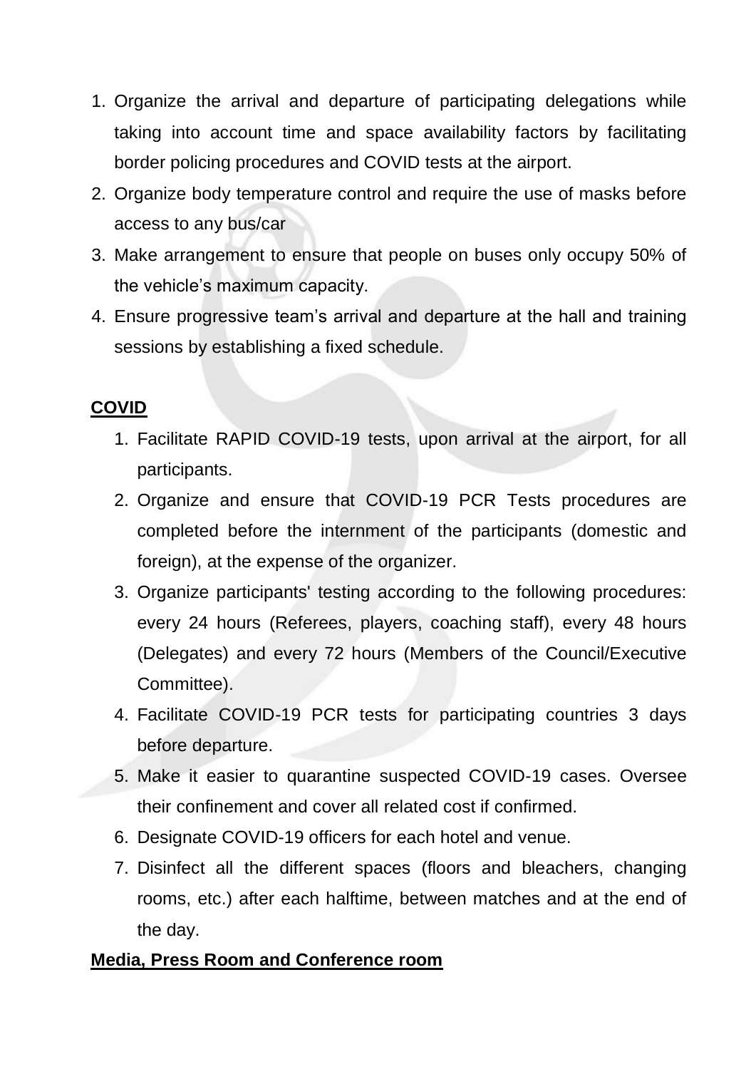- 1. Organize the arrival and departure of participating delegations while taking into account time and space availability factors by facilitating border policing procedures and COVID tests at the airport.
- 2. Organize body temperature control and require the use of masks before access to any bus/car
- 3. Make arrangement to ensure that people on buses only occupy 50% of the vehicle's maximum capacity.
- 4. Ensure progressive team's arrival and departure at the hall and training sessions by establishing a fixed schedule.

## **COVID**

- 1. Facilitate RAPID COVID-19 tests, upon arrival at the airport, for all participants.
- 2. Organize and ensure that COVID-19 PCR Tests procedures are completed before the internment of the participants (domestic and foreign), at the expense of the organizer.
- 3. Organize participants' testing according to the following procedures: every 24 hours (Referees, players, coaching staff), every 48 hours (Delegates) and every 72 hours (Members of the Council/Executive Committee).
- 4. Facilitate COVID-19 PCR tests for participating countries 3 days before departure.
- 5. Make it easier to quarantine suspected COVID-19 cases. Oversee their confinement and cover all related cost if confirmed.
- 6. Designate COVID-19 officers for each hotel and venue.
- 7. Disinfect all the different spaces (floors and bleachers, changing rooms, etc.) after each halftime, between matches and at the end of the day.

## **Media, Press Room and Conference room**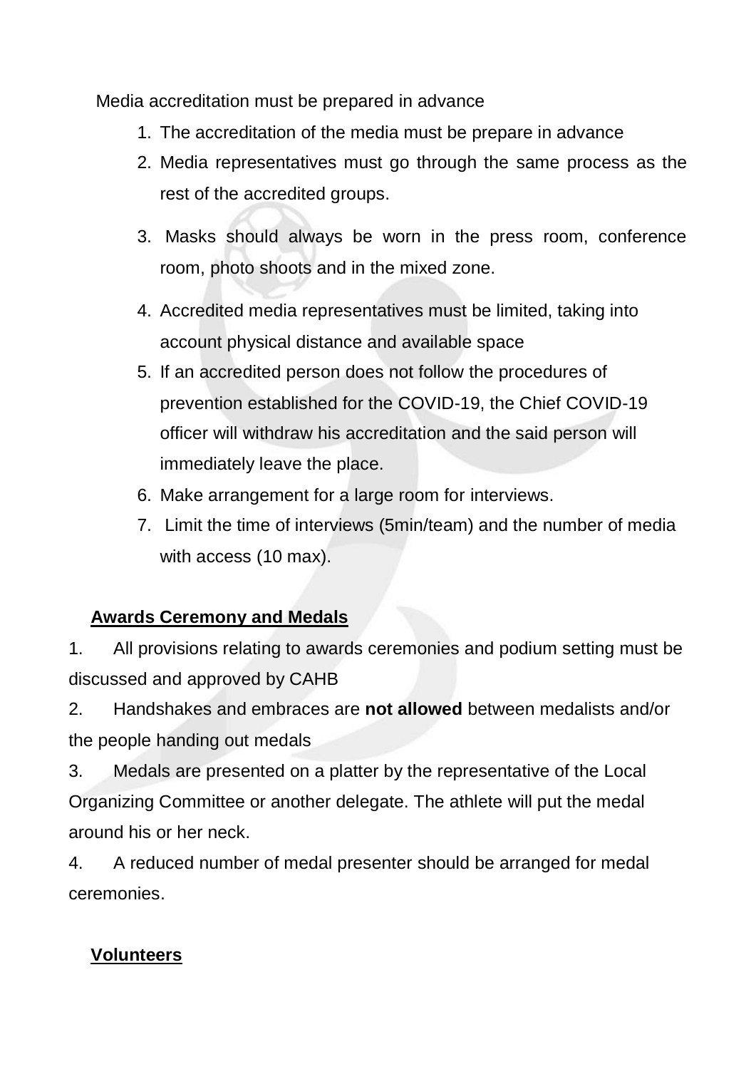Media accreditation must be prepared in advance

- 1. The accreditation of the media must be prepare in advance
- 2. Media representatives must go through the same process as the rest of the accredited groups.
- 3. Masks should always be worn in the press room, conference room, photo shoots and in the mixed zone.
- 4. Accredited media representatives must be limited, taking into account physical distance and available space
- 5. If an accredited person does not follow the procedures of prevention established for the COVID-19, the Chief COVID-19 officer will withdraw his accreditation and the said person will immediately leave the place.
- 6. Make arrangement for a large room for interviews.
- 7. Limit the time of interviews (5min/team) and the number of media with access (10 max).

## **Awards Ceremony and Medals**

1. All provisions relating to awards ceremonies and podium setting must be discussed and approved by CAHB

2. Handshakes and embraces are **not allowed** between medalists and/or the people handing out medals

3. Medals are presented on a platter by the representative of the Local Organizing Committee or another delegate. The athlete will put the medal around his or her neck.

4. A reduced number of medal presenter should be arranged for medal ceremonies.

## **Volunteers**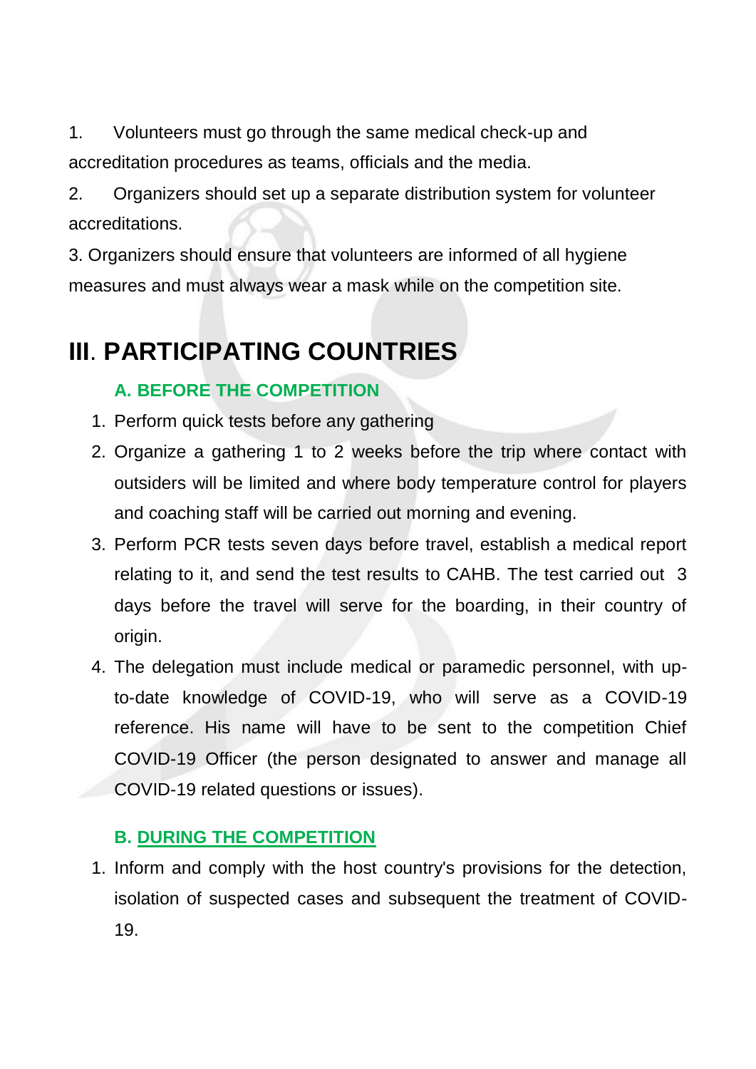1. Volunteers must go through the same medical check-up and accreditation procedures as teams, officials and the media.

2. Organizers should set up a separate distribution system for volunteer accreditations.

3. Organizers should ensure that volunteers are informed of all hygiene measures and must always wear a mask while on the competition site.

# **III**. **PARTICIPATING COUNTRIES**

## **A. BEFORE THE COMPETITION**

- 1. Perform quick tests before any gathering
- 2. Organize a gathering 1 to 2 weeks before the trip where contact with outsiders will be limited and where body temperature control for players and coaching staff will be carried out morning and evening.
- 3. Perform PCR tests seven days before travel, establish a medical report relating to it, and send the test results to CAHB. The test carried out 3 days before the travel will serve for the boarding, in their country of origin.
- 4. The delegation must include medical or paramedic personnel, with upto-date knowledge of COVID-19, who will serve as a COVID-19 reference. His name will have to be sent to the competition Chief COVID-19 Officer (the person designated to answer and manage all COVID-19 related questions or issues).

## **B. DURING THE COMPETITION**

1. Inform and comply with the host country's provisions for the detection, isolation of suspected cases and subsequent the treatment of COVID-19.